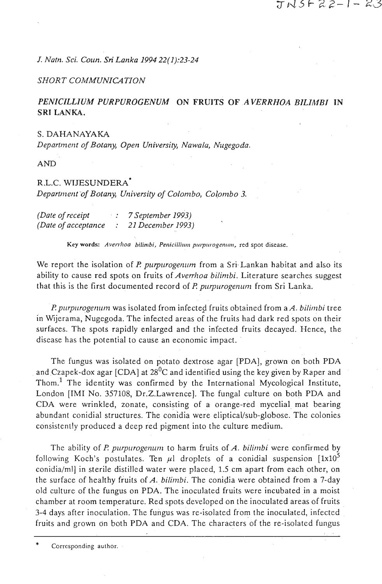# エトムトスミーレー

*J. Natn. Sci. Conn.* **Sri** *Lanka 1994 22(1):23-24* 

# *SHORT COMMUNICATION*

# PENICILLIUM PURPUROGENUM ON FRUITS OF AVERRHOA BILIMBI IN **SRI LANKA.**

### S. DAHANAYAKA

*Departm eizt of Botany, Open University, Nawalu, Nugegoda.* 

**AND** 

## R.L.G. **WTJESUNDERA\***

*Departntertt 'of Botany, Uiiiversity of Colontbo, Cojombo 3.* 

*(Date of receipt* : **<sup>7</sup>***September 1993) (Date of acceptance* : *21 Decentber 1993)* 

Key words: Averrhoa bilimbi, Penicillium purpurogenum, red spot disease.

We report the isolation of *P. purpurogenum* from a Sri Lankan habitat and also its ability to cause red spots on fruits of *Averrhoa bilimbi*. Literature searches suggest that this is the first documented record of *P*, *purpurogenum* from Sri Lanka.

*P. purpurogenum* was isolated from infected fruits obtained from a *A. bilimbi* tree in Wijerama, Nugegoda. The infected areas of the fruits had dark red spots on their surfaces. The spots rapidly enlarged and the infected fruits decayed. Hence, the disease has the potential to cause an economic impact.

The fungus was isolated on potato dextrose agar [PDA], grown on both PDA and Czapek-dox agar [CDA] at  $28^{0}C$  and identified using the key given by Raper and Thom.<sup>1</sup> The identity was confirmed by the International Mycological Institute, London [IMI No. 357108, Dr.Z.Lawrence]. The fungal culture on both PDA and CDA were wrinkled, zonate, consisting of a orange-red mycelial mat bearing abundant conidial structures. The conidia were eliptical/sub-globose. The colonies consistenlly produced a deep red pigment into the culture medium.

The ability of *P. purpurogenum* to harm fruits of *A. bilimbi* were confirmed by following Koch's postulates. Ten  $\mu$ l droplets of a conidial suspension [1x10<sup>5</sup> conidia/ml] in sterile distilled water were placed, 1.5 cm apart from each other, on the surface of healthy fruits of *A. bilintbi.* The conidia were obtained from a 7-day old culture of the fungus on PDA. The inoculated fruits were incubated in a moist chamber at room temperature. Red spots developed on the inoculated areas of fruits 3-4 days after inoculation. The fungus was re-isolated from the inoculated, infected fruits and grown on both PDA and CDA. The characters of the re-isolatcd fungus

Corresponding author.